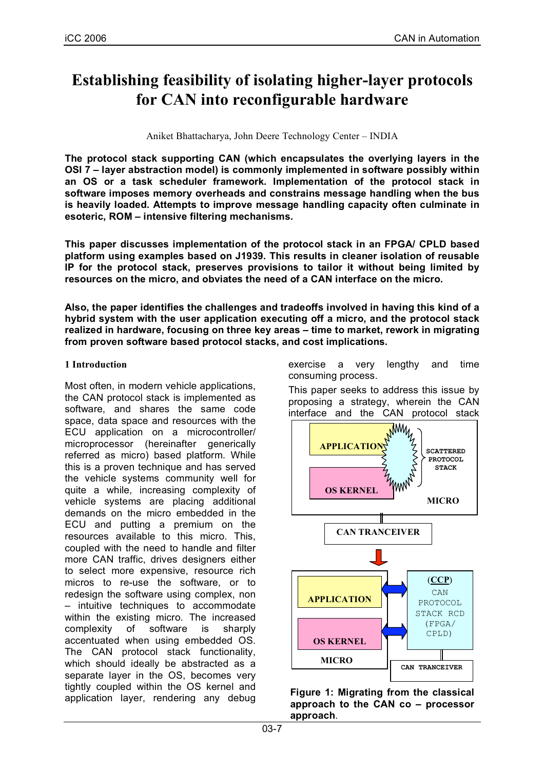# **Establishing feasibility of isolating higher-layer protocols for CAN into reconfigurable hardware**

Aniket Bhattacharya, John Deere Technology Center – INDIA

**The protocol stack supporting CAN (which encapsulates the overlying layers in the OSI 7 – layer abstraction model) is commonly implemented in software possibly within an OS or a task scheduler framework. Implementation of the protocol stack in software imposes memory overheads and constrains message handling when the bus is heavily loaded. Attempts to improve message handling capacity often culminate in esoteric, ROM – intensive filtering mechanisms.**

**This paper discusses implementation of the protocol stack in an FPGA/ CPLD based platform using examples based on J1939. This results in cleaner isolation of reusable IP for the protocol stack, preserves provisions to tailor it without being limited by resources on the micro, and obviates the need of a CAN interface on the micro.**

**Also, the paper identifies the challenges and tradeoffs involved in having this kind of a hybrid system with the user application executing off a micro, and the protocol stack realized in hardware, focusing on three key areas – time to market, rework in migrating from proven software based protocol stacks, and cost implications.**

# **1 Introduction**

Most often, in modern vehicle applications, the CAN protocol stack is implemented as software, and shares the same code space, data space and resources with the ECU application on a microcontroller/ microprocessor (hereinafter generically referred as micro) based platform. While this is a proven technique and has served the vehicle systems community well for quite a while, increasing complexity of vehicle systems are placing additional demands on the micro embedded in the ECU and putting a premium on the resources available to this micro. This, coupled with the need to handle and filter more CAN traffic, drives designers either to select more expensive, resource rich micros to re-use the software, or to redesign the software using complex, non – intuitive techniques to accommodate within the existing micro. The increased complexity of software is sharply accentuated when using embedded OS. The CAN protocol stack functionality, which should ideally be abstracted as a separate layer in the OS, becomes very tightly coupled within the OS kernel and application layer, rendering any debug exercise a very lengthy and time consuming process.

This paper seeks to address this issue by proposing a strategy, wherein the CAN



**Figure 1: Migrating from the classical approach to the CAN co – processor approach**.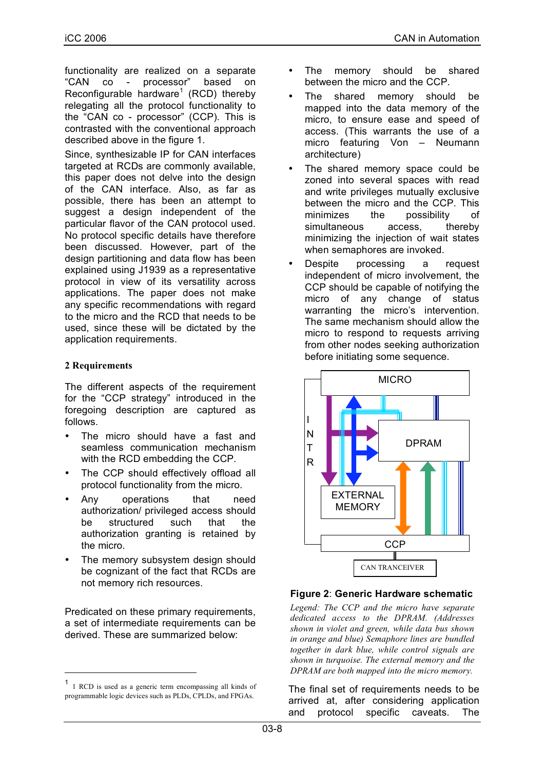functionality are realized on a separate "CAN co - processor" based on Reconfigurable hardware<sup>1</sup> (RCD) thereby relegating all the protocol functionality to the "CAN co - processor" (CCP). This is contrasted with the conventional approach described above in the figure 1.

Since, synthesizable IP for CAN interfaces targeted at RCDs are commonly available, this paper does not delve into the design of the CAN interface. Also, as far as possible, there has been an attempt to suggest a design independent of the particular flavor of the CAN protocol used. No protocol specific details have therefore been discussed. However, part of the design partitioning and data flow has been explained using J1939 as a representative protocol in view of its versatility across applications. The paper does not make any specific recommendations with regard to the micro and the RCD that needs to be used, since these will be dictated by the application requirements.

#### **2 Requirements**

The different aspects of the requirement for the "CCP strategy" introduced in the foregoing description are captured as follows.

- The micro should have a fast and seamless communication mechanism with the RCD embedding the CCP.
- The CCP should effectively offload all protocol functionality from the micro.
- Any operations that need authorization/ privileged access should be structured such that the authorization granting is retained by the micro.
- The memory subsystem design should be cognizant of the fact that RCDs are not memory rich resources.

Predicated on these primary requirements, a set of intermediate requirements can be derived. These are summarized below:

- The memory should be shared between the micro and the CCP.
- The shared memory should be mapped into the data memory of the micro, to ensure ease and speed of access. (This warrants the use of a micro featuring Von – Neumann architecture)
- The shared memory space could be zoned into several spaces with read and write privileges mutually exclusive between the micro and the CCP. This minimizes the possibility of simultaneous access, thereby minimizing the injection of wait states when semaphores are invoked.
- Despite processing a request independent of micro involvement, the CCP should be capable of notifying the micro of any change of status warranting the micro's intervention. The same mechanism should allow the micro to respond to requests arriving from other nodes seeking authorization before initiating some sequence.



## **Figure 2**: **Generic Hardware schematic**

*Legend: The CCP and the micro have separate dedicated access to the DPRAM. (Addresses shown in violet and green, while data bus shown in orange and blue) Semaphore lines are bundled together in dark blue, while control signals are shown in turquoise. The external memory and the DPRAM are both mapped into the micro memory.*

The final set of requirements needs to be arrived at, after considering application and protocol specific caveats. The

 <sup>1</sup> <sup>1</sup> RCD is used as <sup>a</sup> generic term encompassing all kinds of programmable logic devices such as PLDs, CPLDs, and FPGAs.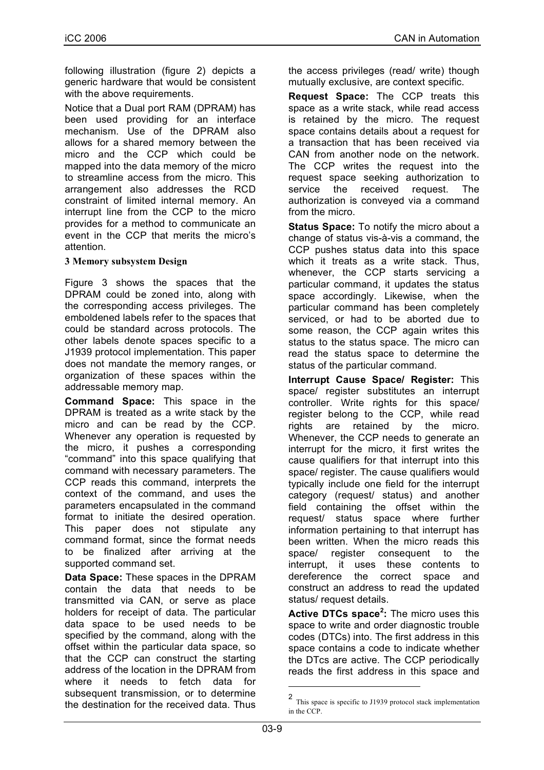following illustration (figure 2) depicts a generic hardware that would be consistent with the above requirements.

Notice that a Dual port RAM (DPRAM) has been used providing for an interface mechanism. Use of the DPRAM also allows for a shared memory between the micro and the CCP which could be mapped into the data memory of the micro to streamline access from the micro. This arrangement also addresses the RCD constraint of limited internal memory. An interrupt line from the CCP to the micro provides for a method to communicate an event in the CCP that merits the micro's attention.

#### **3 Memory subsystem Design**

Figure 3 shows the spaces that the DPRAM could be zoned into, along with the corresponding access privileges. The emboldened labels refer to the spaces that could be standard across protocols. The other labels denote spaces specific to a J1939 protocol implementation. This paper does not mandate the memory ranges, or organization of these spaces within the addressable memory map.

**Command Space:** This space in the DPRAM is treated as a write stack by the micro and can be read by the CCP. Whenever any operation is requested by the micro, it pushes a corresponding "command" into this space qualifying that command with necessary parameters. The CCP reads this command, interprets the context of the command, and uses the parameters encapsulated in the command format to initiate the desired operation. This paper does not stipulate any command format, since the format needs to be finalized after arriving at the supported command set.

**Data Space:** These spaces in the DPRAM contain the data that needs to be transmitted via CAN, or serve as place holders for receipt of data. The particular data space to be used needs to be specified by the command, along with the offset within the particular data space, so that the CCP can construct the starting address of the location in the DPRAM from where it needs to fetch data for subsequent transmission, or to determine the destination for the received data. Thus

the access privileges (read/ write) though mutually exclusive, are context specific.

**Request Space:** The CCP treats this space as a write stack, while read access is retained by the micro. The request space contains details about a request for a transaction that has been received via CAN from another node on the network. The CCP writes the request into the request space seeking authorization to service the received request. The authorization is conveyed via a command from the micro.

**Status Space:** To notify the micro about a change of status vis-à-vis a command, the CCP pushes status data into this space which it treats as a write stack. Thus, whenever, the CCP starts servicing a particular command, it updates the status space accordingly. Likewise, when the particular command has been completely serviced, or had to be aborted due to some reason, the CCP again writes this status to the status space. The micro can read the status space to determine the status of the particular command.

**Interrupt Cause Space/ Register:** This space/ register substitutes an interrupt controller. Write rights for this space/ register belong to the CCP, while read rights are retained by the micro. Whenever, the CCP needs to generate an interrupt for the micro, it first writes the cause qualifiers for that interrupt into this space/ register. The cause qualifiers would typically include one field for the interrupt category (request/ status) and another field containing the offset within the request/ status space where further information pertaining to that interrupt has been written. When the micro reads this space/ register consequent to the interrupt, it uses these contents to dereference the correct space and construct an address to read the updated status/ request details.

**Active DTCs space<sup>2</sup> :** The micro uses this space to write and order diagnostic trouble codes (DTCs) into. The first address in this space contains a code to indicate whether the DTcs are active. The CCP periodically reads the first address in this space and

<sup>2</sup> This space is specific to J1939 protocol stack implementation in the CCP.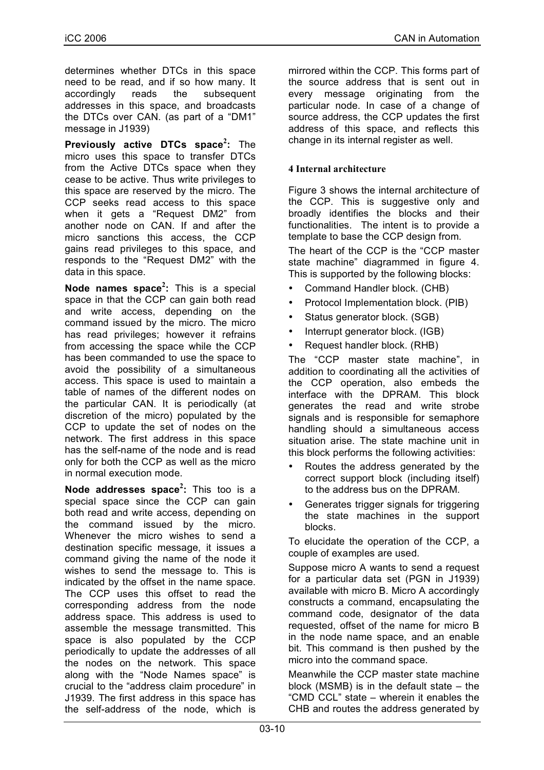determines whether DTCs in this space need to be read, and if so how many. It accordingly reads the subsequent addresses in this space, and broadcasts the DTCs over CAN. (as part of a "DM1" message in J1939)

**Previously active DTCs space<sup>2</sup> :** The micro uses this space to transfer DTCs from the Active DTCs space when they cease to be active. Thus write privileges to this space are reserved by the micro. The CCP seeks read access to this space when it gets a "Request DM2" from another node on CAN. If and after the micro sanctions this access, the CCP gains read privileges to this space, and responds to the "Request DM2" with the data in this space.

**Node names space<sup>2</sup> :** This is a special space in that the CCP can gain both read and write access, depending on the command issued by the micro. The micro has read privileges; however it refrains from accessing the space while the CCP has been commanded to use the space to avoid the possibility of a simultaneous access. This space is used to maintain a table of names of the different nodes on the particular CAN. It is periodically (at discretion of the micro) populated by the CCP to update the set of nodes on the network. The first address in this space has the self-name of the node and is read only for both the CCP as well as the micro in normal execution mode.

**Node addresses space<sup>2</sup> :** This too is a special space since the CCP can gain both read and write access, depending on the command issued by the micro. Whenever the micro wishes to send a destination specific message, it issues a command giving the name of the node it wishes to send the message to. This is indicated by the offset in the name space. The CCP uses this offset to read the corresponding address from the node address space. This address is used to assemble the message transmitted. This space is also populated by the CCP periodically to update the addresses of all the nodes on the network. This space along with the "Node Names space" is crucial to the "address claim procedure" in J1939. The first address in this space has the self-address of the node, which is

mirrored within the CCP. This forms part of the source address that is sent out in every message originating from the particular node. In case of a change of source address, the CCP updates the first address of this space, and reflects this change in its internal register as well.

## **4 Internal architecture**

Figure 3 shows the internal architecture of the CCP. This is suggestive only and broadly identifies the blocks and their functionalities. The intent is to provide a template to base the CCP design from.

The heart of the CCP is the "CCP master state machine" diagrammed in figure 4. This is supported by the following blocks:

- Command Handler block. (CHB)
- Protocol Implementation block. (PIB)
- Status generator block. (SGB)
- Interrupt generator block. (IGB)
- Request handler block. (RHB)

The "CCP master state machine", in addition to coordinating all the activities of the CCP operation, also embeds the interface with the DPRAM. This block generates the read and write strobe signals and is responsible for semaphore handling should a simultaneous access situation arise. The state machine unit in this block performs the following activities:

- Routes the address generated by the correct support block (including itself) to the address bus on the DPRAM.
- Generates trigger signals for triggering the state machines in the support blocks.

To elucidate the operation of the CCP, a couple of examples are used.

Suppose micro A wants to send a request for a particular data set (PGN in J1939) available with micro B. Micro A accordingly constructs a command, encapsulating the command code, designator of the data requested, offset of the name for micro B in the node name space, and an enable bit. This command is then pushed by the micro into the command space.

Meanwhile the CCP master state machine block (MSMB) is in the default state – the "CMD CCL" state – wherein it enables the CHB and routes the address generated by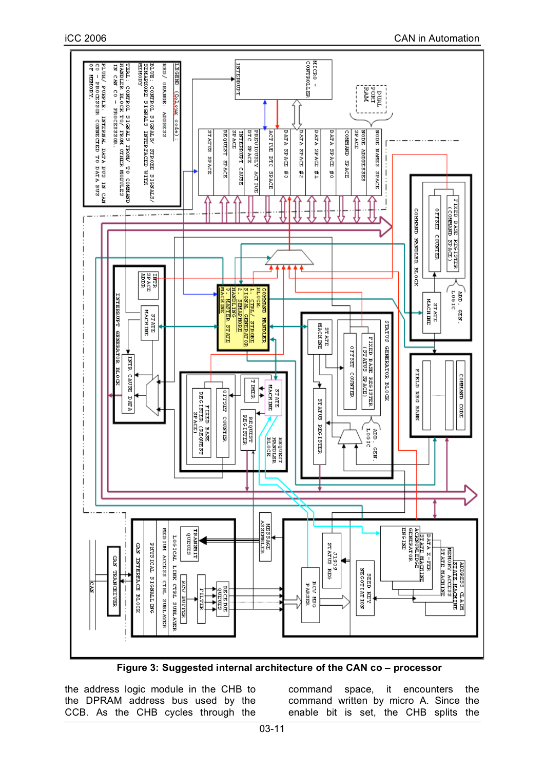

**Figure 3: Suggested internal architecture of the CAN co – processor**

the address logic module in the CHB to the DPRAM address bus used by the CCB. As the CHB cycles through the command space, it encounters the command written by micro A. Since the enable bit is set, the CHB splits the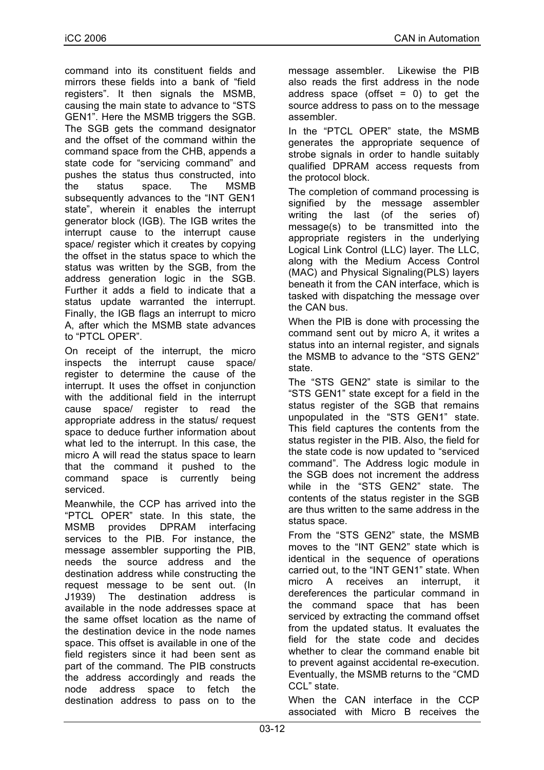command into its constituent fields and mirrors these fields into a bank of "field registers". It then signals the MSMB, causing the main state to advance to "STS GEN1". Here the MSMB triggers the SGB. The SGB gets the command designator and the offset of the command within the command space from the CHB, appends a state code for "servicing command" and pushes the status thus constructed, into the status space. The MSMB subsequently advances to the "INT GEN1 state", wherein it enables the interrupt generator block (IGB). The IGB writes the interrupt cause to the interrupt cause space/ register which it creates by copying the offset in the status space to which the status was written by the SGB, from the address generation logic in the SGB. Further it adds a field to indicate that a status update warranted the interrupt. Finally, the IGB flags an interrupt to micro A, after which the MSMB state advances to "PTCL OPER".

On receipt of the interrupt, the micro inspects the interrupt cause space/ register to determine the cause of the interrupt. It uses the offset in conjunction with the additional field in the interrupt cause space/ register to read the appropriate address in the status/ request space to deduce further information about what led to the interrupt. In this case, the micro A will read the status space to learn that the command it pushed to the command space is currently being serviced.

Meanwhile, the CCP has arrived into the "PTCL OPER" state. In this state, the MSMB provides DPRAM interfacing services to the PIB. For instance, the message assembler supporting the PIB, needs the source address and the destination address while constructing the request message to be sent out. (In J1939) The destination address is available in the node addresses space at the same offset location as the name of the destination device in the node names space. This offset is available in one of the field registers since it had been sent as part of the command. The PIB constructs the address accordingly and reads the node address space to fetch the destination address to pass on to the message assembler. Likewise the PIB also reads the first address in the node address space (offset  $= 0$ ) to get the source address to pass on to the message assembler.

In the "PTCL OPER" state, the MSMB generates the appropriate sequence of strobe signals in order to handle suitably qualified DPRAM access requests from the protocol block.

The completion of command processing is signified by the message assembler writing the last (of the series of) message(s) to be transmitted into the appropriate registers in the underlying Logical Link Control (LLC) layer. The LLC, along with the Medium Access Control (MAC) and Physical Signaling(PLS) layers beneath it from the CAN interface, which is tasked with dispatching the message over the CAN bus.

When the PIB is done with processing the command sent out by micro A, it writes a status into an internal register, and signals the MSMB to advance to the "STS GEN2" state.

The "STS GEN2" state is similar to the "STS GEN1" state except for a field in the status register of the SGB that remains unpopulated in the "STS GEN1" state. This field captures the contents from the status register in the PIB. Also, the field for the state code is now updated to "serviced command". The Address logic module in the SGB does not increment the address while in the "STS GEN2" state. The contents of the status register in the SGB are thus written to the same address in the status space.

From the "STS GEN2" state, the MSMB moves to the "INT GEN2" state which is identical in the sequence of operations carried out, to the "INT GEN1" state. When micro A receives an interrupt, it dereferences the particular command in the command space that has been serviced by extracting the command offset from the updated status. It evaluates the field for the state code and decides whether to clear the command enable bit to prevent against accidental re-execution. Eventually, the MSMB returns to the "CMD CCL" state.

When the CAN interface in the CCP associated with Micro B receives the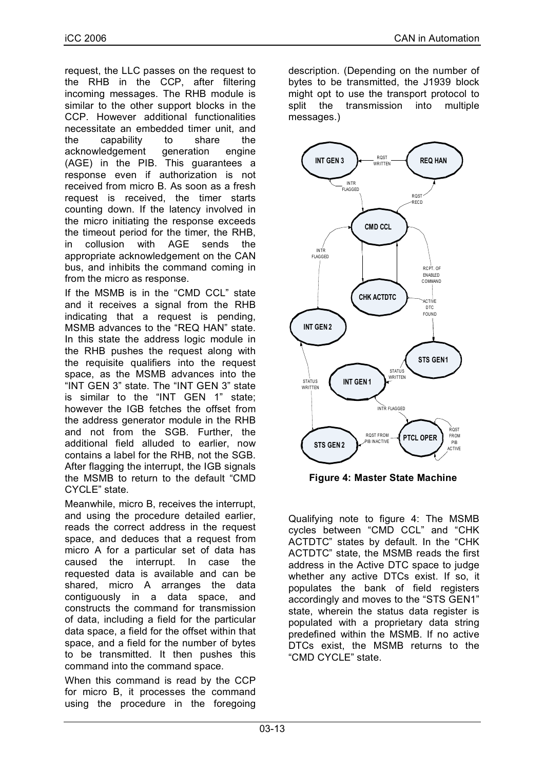request, the LLC passes on the request to the RHB in the CCP, after filtering incoming messages. The RHB module is similar to the other support blocks in the CCP. However additional functionalities necessitate an embedded timer unit, and the capability to share the acknowledgement generation engine (AGE) in the PIB. This guarantees a response even if authorization is not received from micro B. As soon as a fresh request is received, the timer starts counting down. If the latency involved in the micro initiating the response exceeds the timeout period for the timer, the RHB, in collusion with AGE sends the appropriate acknowledgement on the CAN bus, and inhibits the command coming in from the micro as response.

If the MSMB is in the "CMD CCL" state and it receives a signal from the RHB indicating that a request is pending, MSMB advances to the "REQ HAN" state. In this state the address logic module in the RHB pushes the request along with the requisite qualifiers into the request space, as the MSMB advances into the "INT GEN 3" state. The "INT GEN 3" state is similar to the "INT GEN 1" state; however the IGB fetches the offset from the address generator module in the RHB and not from the SGB. Further, the additional field alluded to earlier, now contains a label for the RHB, not the SGB. After flagging the interrupt, the IGB signals the MSMB to return to the default "CMD CYCLE" state.

Meanwhile, micro B, receives the interrupt, and using the procedure detailed earlier, reads the correct address in the request space, and deduces that a request from micro A for a particular set of data has caused the interrupt. In case the requested data is available and can be shared, micro A arranges the data contiguously in a data space, and constructs the command for transmission of data, including a field for the particular data space, a field for the offset within that space, and a field for the number of bytes to be transmitted. It then pushes this command into the command space.

When this command is read by the CCP for micro B, it processes the command using the procedure in the foregoing

description. (Depending on the number of bytes to be transmitted, the J1939 block might opt to use the transport protocol to split the transmission into multiple messages.)



**Figure 4: Master State Machine**

Qualifying note to figure 4: The MSMB cycles between "CMD CCL" and "CHK ACTDTC" states by default. In the "CHK ACTDTC" state, the MSMB reads the first address in the Active DTC space to judge whether any active DTCs exist. If so, it populates the bank of field registers accordingly and moves to the "STS GEN1" state, wherein the status data register is populated with a proprietary data string predefined within the MSMB. If no active DTCs exist, the MSMB returns to the "CMD CYCLE" state.